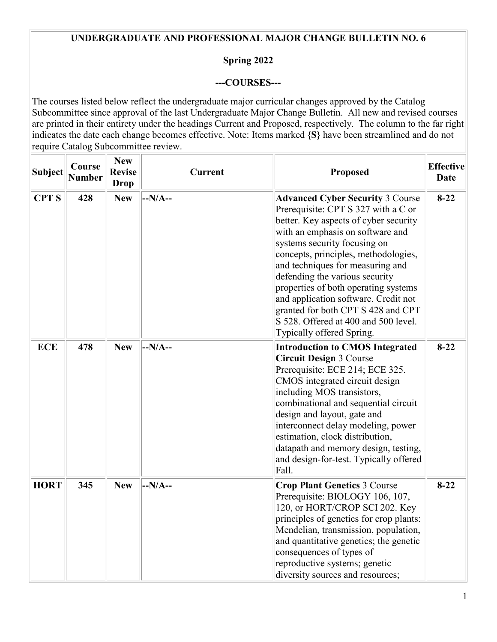## **UNDERGRADUATE AND PROFESSIONAL MAJOR CHANGE BULLETIN NO. 6**

## **Spring 2022**

## **---COURSES---**

The courses listed below reflect the undergraduate major curricular changes approved by the Catalog Subcommittee since approval of the last Undergraduate Major Change Bulletin. All new and revised courses are printed in their entirety under the headings Current and Proposed, respectively. The column to the far right indicates the date each change becomes effective. Note: Items marked **{S}** have been streamlined and do not require Catalog Subcommittee review.

| Subject      | Course<br><b>Number</b> | <b>New</b><br><b>Revise</b><br>Drop | <b>Current</b>                                    | <b>Proposed</b>                                                                                                                                                                                                                                                                                                                                                                                                                                                                                      | <b>Effective</b><br>Date |
|--------------|-------------------------|-------------------------------------|---------------------------------------------------|------------------------------------------------------------------------------------------------------------------------------------------------------------------------------------------------------------------------------------------------------------------------------------------------------------------------------------------------------------------------------------------------------------------------------------------------------------------------------------------------------|--------------------------|
| <b>CPT S</b> | 428                     | <b>New</b>                          | $-N/A-$                                           | <b>Advanced Cyber Security 3 Course</b><br>Prerequisite: CPT S 327 with a C or<br>better. Key aspects of cyber security<br>with an emphasis on software and<br>systems security focusing on<br>concepts, principles, methodologies,<br>and techniques for measuring and<br>defending the various security<br>properties of both operating systems<br>and application software. Credit not<br>granted for both CPT S 428 and CPT<br>S 528. Offered at 400 and 500 level.<br>Typically offered Spring. | $8 - 22$                 |
| <b>ECE</b>   | 478                     | <b>New</b>                          | $\mathsf{L}\text{-}\mathrm{N}/\mathrm{A}\text{-}$ | <b>Introduction to CMOS Integrated</b><br><b>Circuit Design 3 Course</b><br>Prerequisite: ECE 214; ECE 325.<br>CMOS integrated circuit design<br>including MOS transistors,<br>combinational and sequential circuit<br>design and layout, gate and<br>interconnect delay modeling, power<br>estimation, clock distribution,<br>datapath and memory design, testing,<br>and design-for-test. Typically offered<br>Fall.                                                                               | $8-22$                   |
| <b>HORT</b>  | 345                     | <b>New</b>                          | $-N/A-$                                           | <b>Crop Plant Genetics 3 Course</b><br>Prerequisite: BIOLOGY 106, 107,<br>120, or HORT/CROP SCI 202. Key<br>principles of genetics for crop plants:<br>Mendelian, transmission, population,<br>and quantitative genetics; the genetic<br>consequences of types of<br>reproductive systems; genetic<br>diversity sources and resources;                                                                                                                                                               | $8 - 22$                 |